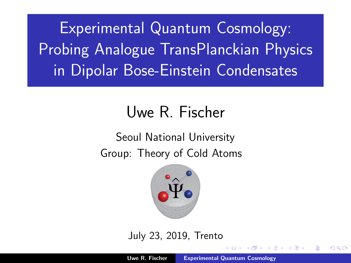<span id="page-0-0"></span>Experimental Quantum Cosmology: Probing Analogue TransPlanckian Physics in Dipolar Bose-Einstein Condensates

# Uwe R. Fischer

# Seoul National University Group: Theory of Cold Atoms



July 23, 2019, Trento

へのへ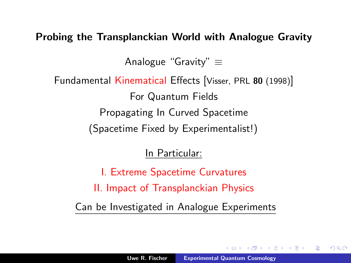### Probing the Transplanckian World with Analogue Gravity

Analogue "Gravity" ≡

Fundamental Kinematical Effects [Visser, PRL 80 (1998)] For Quantum Fields Propagating In Curved Spacetime (Spacetime Fixed by Experimentalist!)

In Particular:

I. Extreme Spacetime Curvatures II. Impact of Transplanckian Physics

Can be Investigated in Analogue Experiments

**A BAYA BAY**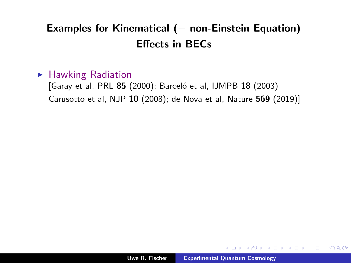### $\blacktriangleright$  Hawking Radiation

[Garay et al, PRL 85 (2000); Barceló et al, IJMPB 18 (2003) Carusotto et al, NJP 10 (2008); de Nova et al, Nature 569 (2019)]

 $2Q$ 

一 4 語 トー

后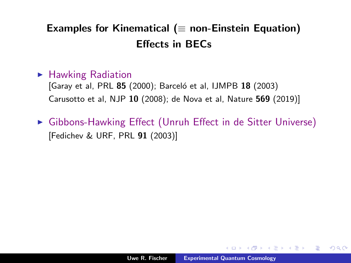### $\blacktriangleright$  Hawking Radiation

[Garay et al, PRL 85 (2000); Barceló et al, IJMPB 18 (2003) Carusotto et al, NJP 10 (2008); de Nova et al, Nature 569 (2019)]

► Gibbons-Hawking Effect (Unruh Effect in de Sitter Universe) [Fedichev & URF, PRL 91 (2003)]

 $2Q$ 

<唐) <唐)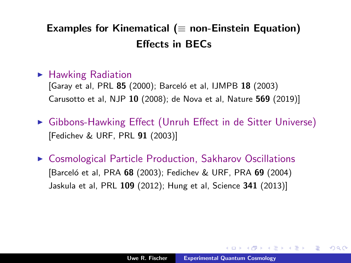### $\blacktriangleright$  Hawking Radiation

[Garay et al, PRL 85 (2000); Barceló et al, IJMPB 18 (2003) Carusotto et al, NJP 10 (2008); de Nova et al, Nature 569 (2019)]

- ▶ Gibbons-Hawking Effect (Unruh Effect in de Sitter Universe) [Fedichev & URF, PRL 91 (2003)]
- ▶ Cosmological Particle Production, Sakharov Oscillations [Barceló et al, PRA 68 (2003); Fedichev & URF, PRA 69 (2004) Jaskula et al, PRL 109 (2012); Hung et al, Science 341 (2013)]

AD - 2 E - 2 E - 2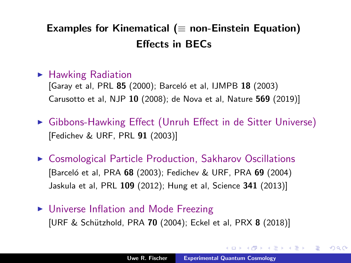### $\blacktriangleright$  Hawking Radiation

[Garay et al, PRL 85 (2000); Barceló et al, IJMPB 18 (2003) Carusotto et al, NJP 10 (2008); de Nova et al, Nature 569 (2019)]

- ▶ Gibbons-Hawking Effect (Unruh Effect in de Sitter Universe) [Fedichev & URF, PRL 91 (2003)]
- ▶ Cosmological Particle Production, Sakharov Oscillations [Barceló et al, PRA 68 (2003); Fedichev & URF, PRA 69 (2004) Jaskula et al, PRL 109 (2012); Hung et al, Science 341 (2013)]
- $\triangleright$  Universe Inflation and Mode Freezing [URF & Schützhold, PRA 70 (2004); Eckel et al, PRX 8 (2018)]

**A BAR BAY**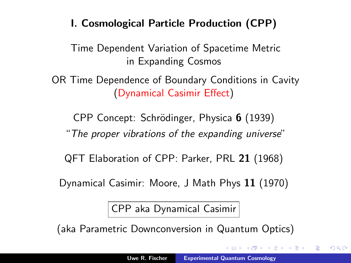### I. Cosmological Particle Production (CPP)

Time Dependent Variation of Spacetime Metric in Expanding Cosmos

OR Time Dependence of Boundary Conditions in Cavity (Dynamical Casimir Effect)

CPP Concept: Schrödinger, Physica 6 (1939) "The proper vibrations of the expanding universe"

QFT Elaboration of CPP: Parker, PRL 21 (1968)

Dynamical Casimir: Moore, J Math Phys 11 (1970)

CPP aka Dynamical Casimir

(aka Parametric Downconversion in Quantum Optics)

**A BANDA**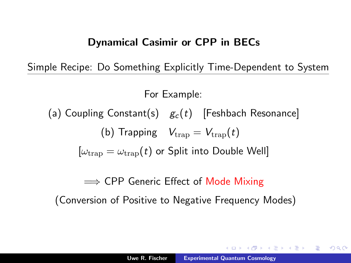### Dynamical Casimir or CPP in BECs

Simple Recipe: Do Something Explicitly Time-Dependent to System

For Example:

(a) Coupling Constant(s)  $g_c(t)$  [Feshbach Resonance]

(b) Trapping  $V_{\text{tran}} = V_{\text{tran}}(t)$ 

 $[\omega_{\text{trap}} = \omega_{\text{trap}}(t)$  or Split into Double Well

 $\implies$  CPP Generic Effect of Mode Mixing (Conversion of Positive to Negative Frequency Modes)

個 トメミトメミト ニミ

 $QQ$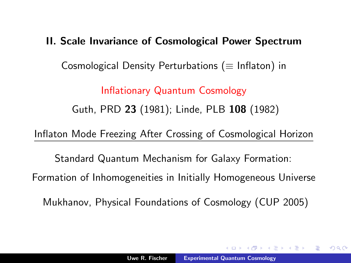### II. Scale Invariance of Cosmological Power Spectrum

Cosmological Density Perturbations ( $\equiv$  Inflaton) in

Inflationary Quantum Cosmology Guth, PRD 23 (1981); Linde, PLB 108 (1982)

Inflaton Mode Freezing After Crossing of Cosmological Horizon

Standard Quantum Mechanism for Galaxy Formation: Formation of Inhomogeneities in Initially Homogeneous Universe

Mukhanov, Physical Foundations of Cosmology (CUP 2005)

メター・メディ スティー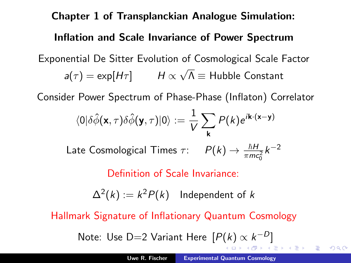### Chapter 1 of Transplanckian Analogue Simulation: Inflation and Scale Invariance of Power Spectrum Exponential De Sitter Evolution of Cosmological Scale Factor  $\mathsf{a}(\tau) = \mathsf{exp}[H\tau] \qquad H \propto$ √  $\Lambda \equiv$  Hubble Constant

Consider Power Spectrum of Phase-Phase (Inflaton) Correlator

$$
\langle 0|\delta\hat{\phi}(\mathbf{x},\tau)\delta\hat{\phi}(\mathbf{y},\tau)|0\rangle := \frac{1}{V}\sum_{\mathbf{k}} P(k)e^{i\mathbf{k}\cdot(\mathbf{x}-\mathbf{y})}
$$

Late Cosmological Times  $\tau$ :  $P(k) \rightarrow \frac{\hbar H}{\pi m c_0^2} k^{-2}$ 

Definition of Scale Invariance:

 $\Delta^2(k) := k^2 P(k)$  Independent of  $k$ 

Hallmark Signature of Inflationary Quantum Cosmology

Note: Use D $=$ 2 Variant Here  $[P(k) \propto k^{-D}]$ 

K 로 베이크 로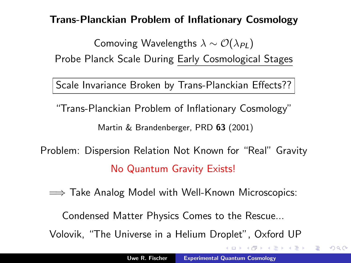### <span id="page-10-0"></span>Trans-Planckian Problem of Inflationary Cosmology

Comoving Wavelengths  $\lambda \sim \mathcal{O}(\lambda_{PI})$ Probe Planck Scale During Early Cosmological Stages

Scale Invariance Broken by Trans-Planckian Effects??

"Trans-Planckian Problem of Inflationary Cosmology" Martin & Brandenberger, PRD 63 (2001)

Problem: Dispersion Relation Not Known for "Real" Gravity No Quantum Gravity Exists!

 $\implies$  Take Analog Model with Well-Known Microscopics:

Condensed Matter Physics Comes to the Rescue...

Volovik, "The Universe in a Helium Droplet", Oxford UP

경기 《경기》 경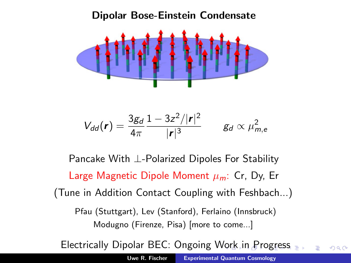# <span id="page-11-0"></span>Dipolar Bose-Einstein Condensate

$$
V_{dd}(\bm{r}) = \frac{3g_d}{4\pi} \frac{1 - 3z^2/|\bm{r}|^2}{|\bm{r}|^3} \qquad g_d \propto \mu_{m,e}^2
$$

Pancake With ⊥-Polarized Dipoles For Stability Large Magnetic Dipole Moment  $\mu_m$ : Cr, Dy, Er (Tune in Addition Contact Coupling with Feshbach...) Pfau (Stuttgart), Lev (Stanford), Ferlaino (Innsbruck) Modugno (Firenze, Pisa) [more to come...]

Electrically Dipolar BEC: Ongoing [Wor](#page-10-0)[k i](#page-12-0)[n](#page-10-0) [P](#page-11-0)[r](#page-12-0)[ogr](#page-0-0)[es](#page-38-0)[s](#page-0-0)  $\Omega$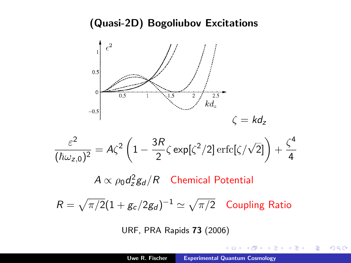### (Quasi-2D) Bogoliubov Excitations

<span id="page-12-0"></span>

$$
\frac{\varepsilon^2}{(\hbar\omega_{z,0})^2} = A\zeta^2 \left(1 - \frac{3R}{2}\zeta \exp[\zeta^2/2] \operatorname{erfc}[\zeta/\sqrt{2}]\right) + \frac{\zeta^4}{4}
$$

$$
A \propto \rho_0 d_z^2 g_d / R \quad \text{Chemical Potential}
$$

$$
R = \sqrt{\pi/2} (1 + g_c/2g_d)^{-1} \simeq \sqrt{\pi/2} \quad \text{Coupling Ratio}
$$

URF, PRA Rapids 73 (2006)

 $\leftarrow$   $\Box$ 

A × 手  $\leftarrow \Xi \rightarrow$ 

 $\equiv$ 

 $299$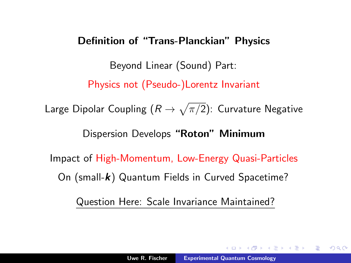### Definition of "Trans-Planckian" Physics

Beyond Linear (Sound) Part: Physics not (Pseudo-)Lorentz Invariant

Large Dipolar Coupling  $(R\to\sqrt{\pi/2})$ : Curvature Negative

Dispersion Develops "Roton" Minimum

Impact of High-Momentum, Low-Energy Quasi-Particles On (small-k) Quantum Fields in Curved Spacetime?

Question Here: Scale Invariance Maintained?

→ (重) → (重) → (重)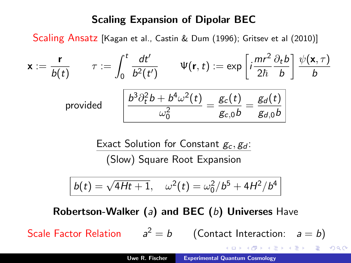### Scaling Expansion of Dipolar BEC

<span id="page-14-0"></span>Scaling Ansatz [Kagan et al., Castin & Dum (1996); Gritsev et al (2010)]

$$
\mathbf{x} := \frac{\mathbf{r}}{b(t)} \qquad \tau := \int_0^t \frac{dt'}{b^2(t')} \qquad \Psi(\mathbf{r}, t) := \exp\left[i\frac{mr^2}{2\hbar}\frac{\partial_t b}{b}\right] \frac{\psi(\mathbf{x}, \tau)}{b}
$$
\nprovided\n
$$
\sqrt{\frac{b^3 \partial_t^2 b + b^4 \omega^2(t)}{\omega_0^2}} = \frac{g_c(t)}{g_{c,0}b} = \frac{g_d(t)}{g_{d,0}b}
$$

Exact Solution for Constant  $g_c, g_d$ :

(Slow) Square Root Expansion

$$
b(t) = \sqrt{4Ht + 1}, \quad \omega^2(t) = \omega_0^2/b^5 + 4H^2/b^4
$$

**Robertson-Walker (a) and BEC (b) Universes** Have

Scale Factor Relation  $a^2 = b$  (Contact Interaction:  $a = b$ )

 $\Omega$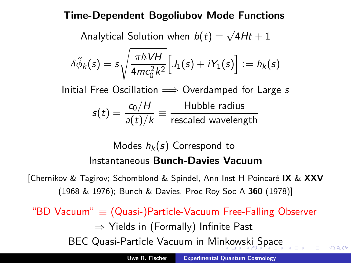### <span id="page-15-0"></span>Time-Dependent Bogoliubov Mode Functions

Analytical Solution when  $b(t)=\sqrt{4Ht+1}$ 

$$
\delta\tilde{\phi}_k(s)=s\sqrt{\frac{\pi\hbar\textit{VH}}{4mc_0^2k^2}}\Big[J_1(s)+iY_1(s)\Big]:=h_k(s)
$$

Initial Free Oscillation  $\implies$  Overdamped for Large s

$$
s(t) = \frac{c_0/H}{a(t)/k} \equiv \frac{\text{Hubble radius}}{\text{rescaled wavelength}}
$$

### Modes  $h_k(s)$  Correspond to Instantaneous Bunch-Davies Vacuum

[Chernikov & Tagirov; Schomblond & Spindel, Ann Inst H Poincaré IX & XXV (1968 & 1976); Bunch & Davies, Proc Roy Soc A 360 (1978)]

"BD Vacuum" ≡ (Quasi-)Particle-Vacuum Free-Falling Observer  $\Rightarrow$  Yields in (Formally) Infinite Past BEC Quasi-Particle Vacuum in Mi[nko](#page-14-0)[ws](#page-16-0)[k](#page-14-0)[i](#page-15-0) [S](#page-16-0)[pac](#page-0-0)[e](#page-38-0)

 $\Omega$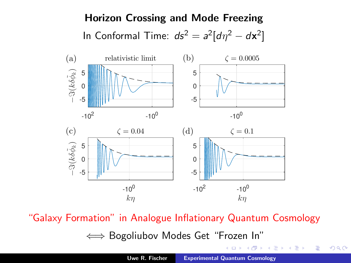Horizon Crossing and Mode Freezing In Conformal Time:  $ds^2 = a^2[d\eta^2 - d\mathbf{x}^2]$ 

<span id="page-16-0"></span>

"Galaxy Formation" in Analogue Inflationary Quantum Cosmology

⇐⇒ Bogoliubov Modes Get "Frozen In"

 $\equiv$ 

K 로 )

 $299$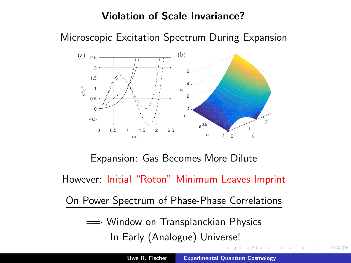### Violation of Scale Invariance?

Microscopic Excitation Spectrum During Expansion



Expansion: Gas Becomes More Dilute However: Initial "Roton" Minimum Leaves Imprint On Power Spectrum of Phase-Phase Correlations  $\implies$  **Window on Transplanckian Physics** In Early (Analogue) Universe!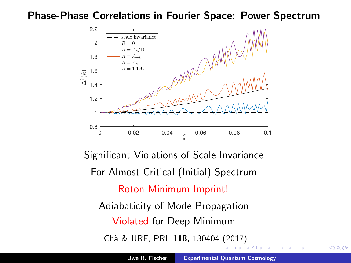Phase-Phase Correlations in Fourier Space: Power Spectrum



Significant Violations of Scale Invariance For Almost Critical (Initial) Spectrum Roton Minimum Imprint! Adiabaticity of Mode Propagation Violated for Deep Minimum Ch¨a & URF, PRL 118, 130404 (2017)

つへへ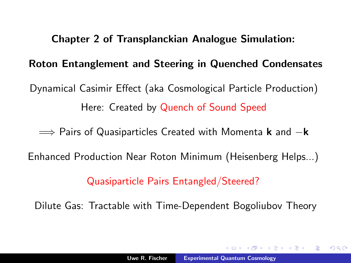Chapter 2 of Transplanckian Analogue Simulation: Roton Entanglement and Steering in Quenched Condensates Dynamical Casimir Effect (aka Cosmological Particle Production) Here: Created by Quench of Sound Speed  $\implies$  Pairs of Quasiparticles Created with Momenta **k** and  $-$ **k** 

Enhanced Production Near Roton Minimum (Heisenberg Helps...)

Quasiparticle Pairs Entangled/Steered?

Dilute Gas: Tractable with Time-Dependent Bogoliubov Theory

 $\mathcal{A} \oplus \mathcal{B} \rightarrow \mathcal{A} \oplus \mathcal{B} \rightarrow \mathcal{A} \oplus \mathcal{B} \rightarrow \mathcal{B} \oplus \mathcal{B}$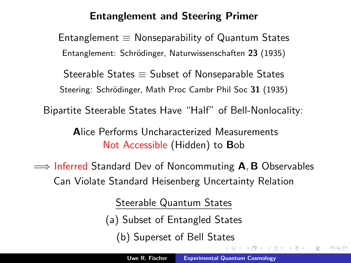### Entanglement and Steering Primer

Entanglement  $\equiv$  Nonseparability of Quantum States Entanglement: Schrödinger, Naturwissenschaften 23 (1935)

Steerable States  $\equiv$  Subset of Nonseparable States Steering: Schrödinger, Math Proc Cambr Phil Soc 31 (1935)

Bipartite Steerable States Have "Half" of Bell-Nonlocality:

Alice Performs Uncharacterized Measurements Not Accessible (Hidden) to Bob

 $\implies$  Inferred Standard Dev of Noncommuting A, B Observables Can Violate Standard Heisenberg Uncertainty Relation

Steerable Quantum States

(a) Subset of Entangled States

(b) Superset of Bell States

④重 ※ ④重 ※ …

重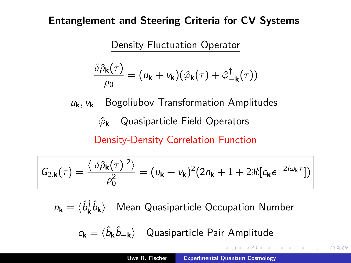### Entanglement and Steering Criteria for CV Systems

Density Fluctuation Operator

$$
\frac{\delta \hat{\rho}_{\mathbf{k}}(\tau)}{\rho_0} = (u_{\mathbf{k}} + v_{\mathbf{k}})(\hat{\varphi}_{\mathbf{k}}(\tau) + \hat{\varphi}_{-\mathbf{k}}^{\dagger}(\tau))
$$

 $u_{\mathbf{k}}$ ,  $v_{\mathbf{k}}$  Bogoliubov Transformation Amplitudes

 $\hat{\varphi}_{\mathbf{k}}$  Quasiparticle Field Operators

Density-Density Correlation Function

$$
G_{2,\mathbf{k}}(\tau)=\frac{\langle |\delta\hat{\rho}_{\mathbf{k}}(\tau)|^2\rangle}{\rho_0^2}=(u_{\mathbf{k}}+v_{\mathbf{k}})^2(2n_{\mathbf{k}}+1+2\Re[c_{\mathbf{k}}e^{-2i\omega_{\mathbf{k}}\tau}])
$$

 $n_{\mathbf{k}}=\langle\hat{b}_{\mathbf{k}}^{\dagger}\hat{b}_{\mathbf{k}}\rangle$  Mean Quasiparticle Occupation Number

 $c_{\mathbf{k}}=\langle\hat{b}_{\mathbf{k}}\hat{b}_{-\mathbf{k}}\rangle$  Quasiparticle Pair Amplitude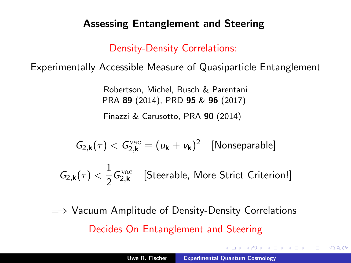### Assessing Entanglement and Steering

Density-Density Correlations:

Experimentally Accessible Measure of Quasiparticle Entanglement

Robertson, Michel, Busch & Parentani PRA 89 (2014), PRD 95 & 96 (2017)

Finazzi & Carusotto, PRA 90 (2014)

$$
G_{2,\mathbf{k}}(\tau) < G_{2,\mathbf{k}}^{\text{vac}} = (u_{\mathbf{k}} + v_{\mathbf{k}})^2 \quad \text{[Nonseparable]}
$$
\n
$$
G_{2,\mathbf{k}}(\tau) < \frac{1}{2} G_{2,\mathbf{k}}^{\text{vac}} \quad \text{[Steerable, More Strict Criterion!]}
$$

 $\implies$  Vacuum Amplitude of Density-Density Correlations Decides On Entanglement and Steering

④ 重 お ④ 重 お …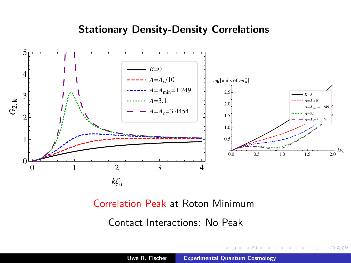

### Correlation Peak at Roton Minimum

Contact Interactions: No Peak

**K ロ ▶ K 伊 ▶** 

E

Эx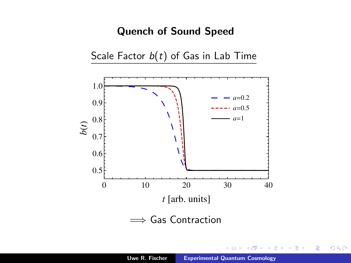### Quench of Sound Speed





 $\leftarrow$   $\Box$ 

 $\equiv$ 

**In** 

E

 $299$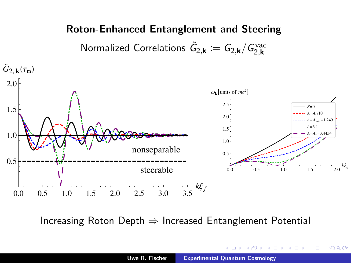### Roton-Enhanced Entanglement and Steering



Increasing Roton Depth  $\Rightarrow$  Increased Entanglement Potential

 $4.17 \times$ 

 $\leftarrow$   $\overline{m}$   $\rightarrow$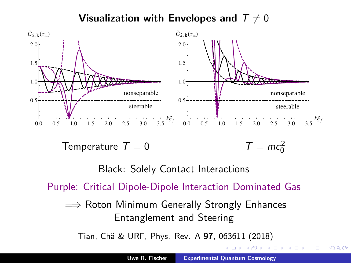### Visualization with Envelopes and  $T \neq 0$



Temperature  $T = 0$ 

 $T = mc_0^2$ 

 $2Q$ 

扂

Black: Solely Contact Interactions

Purple: Critical Dipole-Dipole Interaction Dominated Gas

 $\implies$  Roton Minimum Generally Strongly Enhances Entanglement and Steering

Tian, Chä & URF, Phys. Rev. A 97, 063611 (2018)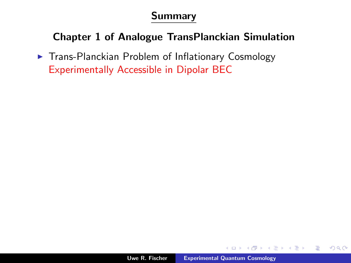### Chapter 1 of Analogue TransPlanckian Simulation

**Trans-Planckian Problem of Inflationary Cosmology** Experimentally Accessible in Dipolar BEC

④重き ④重き 。

重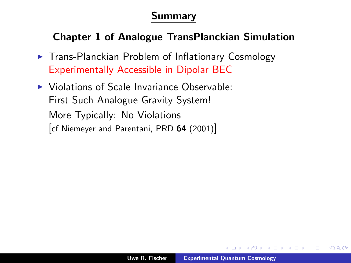### Chapter 1 of Analogue TransPlanckian Simulation

- **Figure 1** Trans-Planckian Problem of Inflationary Cosmology Experimentally Accessible in Dipolar BEC
- $\triangleright$  Violations of Scale Invariance Observable: First Such Analogue Gravity System! More Typically: No Violations [cf Niemeyer and Parentani, PRD 64 (2001)]

 $2Q$ 

4 三 日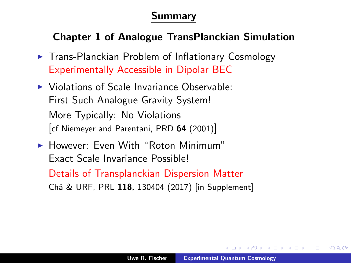### Chapter 1 of Analogue TransPlanckian Simulation

- **Figure 1** Trans-Planckian Problem of Inflationary Cosmology Experimentally Accessible in Dipolar BEC
- $\triangleright$  Violations of Scale Invariance Observable: First Such Analogue Gravity System! More Typically: No Violations [cf Niemeyer and Parentani, PRD 64 (2001)]
- **However: Even With "Roton Minimum"** Exact Scale Invariance Possible!

Details of Transplanckian Dispersion Matter Chä & URF, PRL 118, 130404 (2017) [in Supplement]

へのへ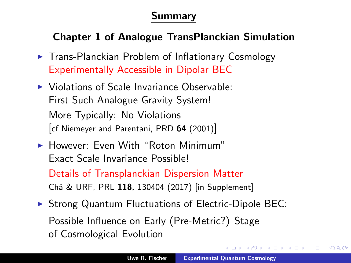### Chapter 1 of Analogue TransPlanckian Simulation

- **Trans-Planckian Problem of Inflationary Cosmology** Experimentally Accessible in Dipolar BEC
- $\triangleright$  Violations of Scale Invariance Observable: First Such Analogue Gravity System! More Typically: No Violations [cf Niemeyer and Parentani, PRD 64 (2001)]
- **However: Even With "Roton Minimum"** Exact Scale Invariance Possible!

Details of Transplanckian Dispersion Matter Chä & URF, PRL 118, 130404 (2017) [in Supplement]

 $\triangleright$  Strong Quantum Fluctuations of Electric-Dipole BEC: Possible Influence on Early (Pre-Metric?) Stage of Cosmological Evolution

 $\lambda$  =  $\lambda$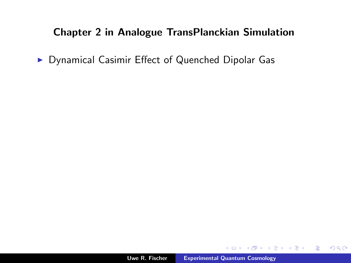▶ Dynamical Casimir Effect of Quenched Dipolar Gas

 $\leftarrow$   $\Box$ 

一 ( 語 ) … 重  $299$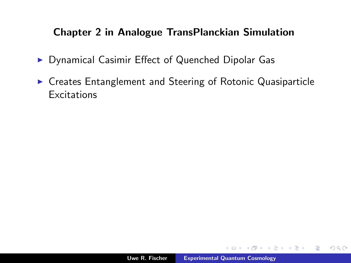- ▶ Dynamical Casimir Effect of Quenched Dipolar Gas
- $\triangleright$  Creates Entanglement and Steering of Rotonic Quasiparticle **Excitations**

一 ( 語 ) ( )

后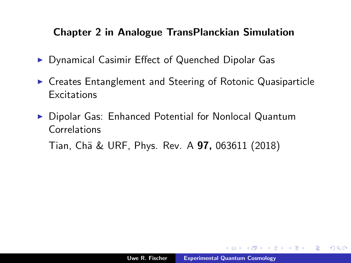- ▶ Dynamical Casimir Effect of Quenched Dipolar Gas
- $\triangleright$  Creates Entanglement and Steering of Rotonic Quasiparticle **Excitations**
- ▶ Dipolar Gas: Enhanced Potential for Nonlocal Quantum **Correlations**

Tian, Chä & URF, Phys. Rev. A **97,** 063611 (2018)

 $\rightarrow$   $\pm$   $\rightarrow$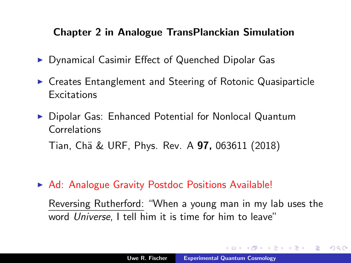- ▶ Dynamical Casimir Effect of Quenched Dipolar Gas
- $\triangleright$  Creates Entanglement and Steering of Rotonic Quasiparticle **Excitations**
- ▶ Dipolar Gas: Enhanced Potential for Nonlocal Quantum **Correlations** Tian, Chä & URF, Phys. Rev. A **97,** 063611 (2018)

► Ad: Analogue Gravity Postdoc Positions Available!

Reversing Rutherford: "When a young man in my lab uses the word Universe, I tell him it is time for him to leave"

**A BA A BA** 

 $\Omega$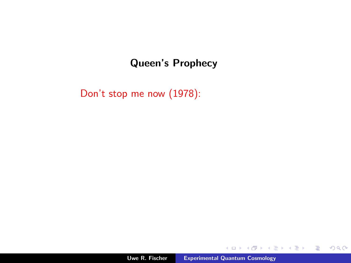Don't stop me now (1978):

Uwe R. Fischer [Experimental Quantum Cosmology](#page-0-0)

a mills.

 $\leftarrow$   $\overline{m}$   $\rightarrow$ 

④重き ④重き 。

È

 $299$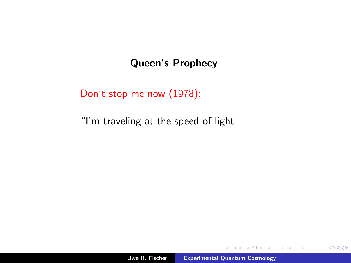Don't stop me now (1978):

"I'm traveling at the speed of light

 $\leftarrow$   $\Box$ 

天津 お

重

 $299$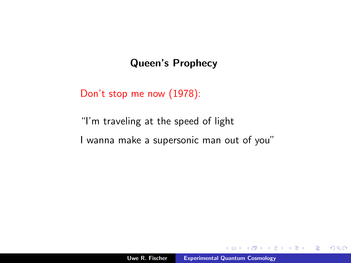Don't stop me now (1978):

"I'm traveling at the speed of light I wanna make a supersonic man out of you"

∢ 重う

扂